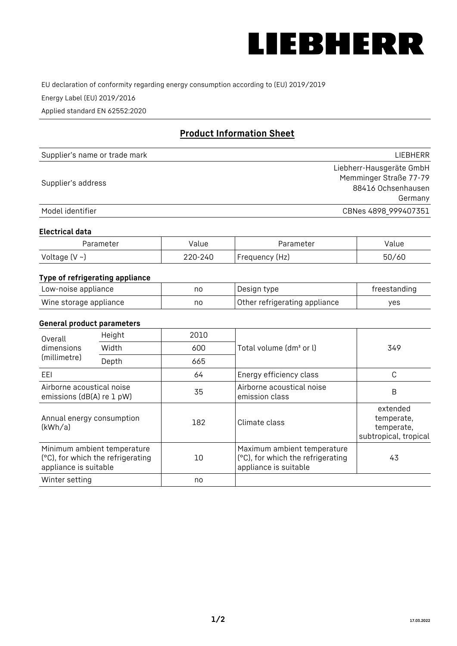

EU declaration of conformity regarding energy consumption according to (EU) 2019/2019

Energy Label (EU) 2019/2016

Applied standard EN 62552:2020

# **Product Information Sheet**

| Supplier's name or trade mark | LIEBHERR                 |
|-------------------------------|--------------------------|
|                               | Liebherr-Hausgeräte GmbH |
| Supplier's address            | Memminger Straße 77-79   |
|                               | 88416 Ochsenhausen       |
|                               | Germany                  |
| Model identifier              | CBNes 4898_999407351     |

#### **Electrical data**

| Parameter          | Value   | Parameter      | Value |
|--------------------|---------|----------------|-------|
| Voltage $(V \sim)$ | 220-240 | Frequency (Hz) | 50/60 |

## **Type of refrigerating appliance**

| Low-noise appliance    | nc | Design type                   | freestanding |
|------------------------|----|-------------------------------|--------------|
| Wine storage appliance | nc | Other refrigerating appliance | ves          |

#### **General product parameters**

| Overall                                                | Height                                                           | 2010 |                                                                                           | 349                                                           |
|--------------------------------------------------------|------------------------------------------------------------------|------|-------------------------------------------------------------------------------------------|---------------------------------------------------------------|
| dimensions<br>(millimetre)                             | Width                                                            | 600  | Total volume (dm <sup>3</sup> or l)                                                       |                                                               |
|                                                        | Depth                                                            | 665  |                                                                                           |                                                               |
| EEL                                                    |                                                                  | 64   | Energy efficiency class                                                                   | C                                                             |
| Airborne acoustical noise<br>emissions (dB(A) re 1 pW) |                                                                  | 35   | Airborne acoustical noise<br>emission class                                               | B                                                             |
| Annual energy consumption<br>(kWh/a)                   |                                                                  | 182  | Climate class                                                                             | extended<br>temperate,<br>temperate,<br>subtropical, tropical |
| appliance is suitable                                  | Minimum ambient temperature<br>(°C), for which the refrigerating | 10   | Maximum ambient temperature<br>(°C), for which the refrigerating<br>appliance is suitable | 43                                                            |
| Winter setting                                         |                                                                  | no   |                                                                                           |                                                               |